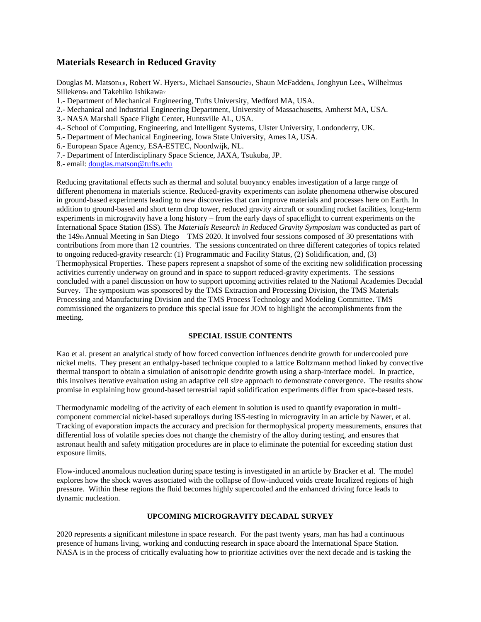## **Materials Research in Reduced Gravity**

Douglas M. Matson1,8, Robert W. Hyers2, Michael Sansoucie3, Shaun McFadden4, Jonghyun Lees, Wilhelmus Sillekens6 and Takehiko Ishikawa7

- 1.- Department of Mechanical Engineering, Tufts University, Medford MA, USA.
- 2.- Mechanical and Industrial Engineering Department, University of Massachusetts, Amherst MA, USA.
- 3.- NASA Marshall Space Flight Center, Huntsville AL, USA.
- 4.- School of Computing, Engineering, and Intelligent Systems, Ulster University, Londonderry, UK.
- 5.- Department of Mechanical Engineering, Iowa State University, Ames IA, USA.
- 6.- European Space Agency, ESA-ESTEC, Noordwijk, NL.
- 7.- Department of Interdisciplinary Space Science, JAXA, Tsukuba, JP.
- 8.- email: [douglas.matson@tufts.edu](mailto:douglas.matson@tufts.edu)

Reducing gravitational effects such as thermal and solutal buoyancy enables investigation of a large range of different phenomena in materials science. Reduced-gravity experiments can isolate phenomena otherwise obscured in ground-based experiments leading to new discoveries that can improve materials and processes here on Earth. In addition to ground-based and short term drop tower, reduced gravity aircraft or sounding rocket facilities, long-term experiments in microgravity have a long history – from the early days of spaceflight to current experiments on the International Space Station (ISS). The *Materials Research in Reduced Gravity Symposium* was conducted as part of the 149th Annual Meeting in San Diego – TMS 2020. It involved four sessions composed of 30 presentations with contributions from more than 12 countries. The sessions concentrated on three different categories of topics related to ongoing reduced-gravity research: (1) Programmatic and Facility Status, (2) Solidification, and, (3) Thermophysical Properties. These papers represent a snapshot of some of the exciting new solidification processing activities currently underway on ground and in space to support reduced-gravity experiments. The sessions concluded with a panel discussion on how to support upcoming activities related to the National Academies Decadal Survey. The symposium was sponsored by the TMS Extraction and Processing Division, the TMS Materials Processing and Manufacturing Division and the TMS Process Technology and Modeling Committee. TMS commissioned the organizers to produce this special issue for JOM to highlight the accomplishments from the meeting.

## **SPECIAL ISSUE CONTENTS**

Kao et al. present an analytical study of how forced convection influences dendrite growth for undercooled pure nickel melts. They present an enthalpy-based technique coupled to a lattice Boltzmann method linked by convective thermal transport to obtain a simulation of anisotropic dendrite growth using a sharp-interface model. In practice, this involves iterative evaluation using an adaptive cell size approach to demonstrate convergence. The results show promise in explaining how ground-based terrestrial rapid solidification experiments differ from space-based tests.

Thermodynamic modeling of the activity of each element in solution is used to quantify evaporation in multicomponent commercial nickel-based superalloys during ISS-testing in microgravity in an article by Nawer, et al. Tracking of evaporation impacts the accuracy and precision for thermophysical property measurements, ensures that differential loss of volatile species does not change the chemistry of the alloy during testing, and ensures that astronaut health and safety mitigation procedures are in place to eliminate the potential for exceeding station dust exposure limits.

Flow-induced anomalous nucleation during space testing is investigated in an article by Bracker et al. The model explores how the shock waves associated with the collapse of flow-induced voids create localized regions of high pressure. Within these regions the fluid becomes highly supercooled and the enhanced driving force leads to dynamic nucleation.

## **UPCOMING MICROGRAVITY DECADAL SURVEY**

2020 represents a significant milestone in space research. For the past twenty years, man has had a continuous presence of humans living, working and conducting research in space aboard the International Space Station. NASA is in the process of critically evaluating how to prioritize activities over the next decade and is tasking the